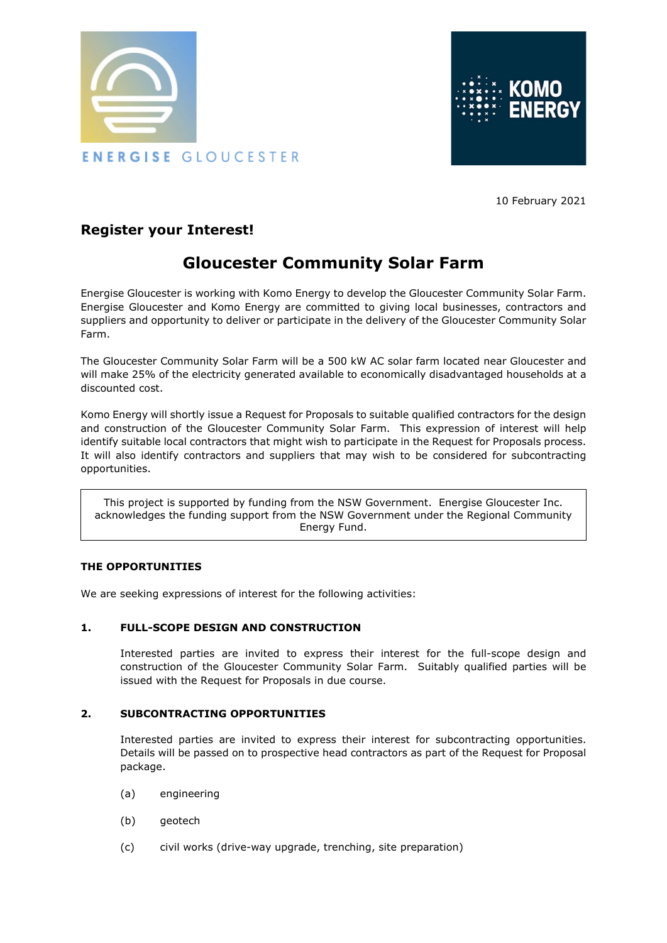



10 February 2021

## **Register your Interest!**

# **Gloucester Community Solar Farm**

Energise Gloucester is working with Komo Energy to develop the Gloucester Community Solar Farm. Energise Gloucester and Komo Energy are committed to giving local businesses, contractors and suppliers and opportunity to deliver or participate in the delivery of the Gloucester Community Solar Farm.

The Gloucester Community Solar Farm will be a 500 kW AC solar farm located near Gloucester and will make 25% of the electricity generated available to economically disadvantaged households at a discounted cost.

Komo Energy will shortly issue a Request for Proposals to suitable qualified contractors for the design and construction of the Gloucester Community Solar Farm. This expression of interest will help identify suitable local contractors that might wish to participate in the Request for Proposals process. It will also identify contractors and suppliers that may wish to be considered for subcontracting opportunities.

This project is supported by funding from the NSW Government. Energise Gloucester Inc. acknowledges the funding support from the NSW Government under the Regional Community Energy Fund.

#### **THE OPPORTUNITIES**

We are seeking expressions of interest for the following activities:

### **1. FULL-SCOPE DESIGN AND CONSTRUCTION**

Interested parties are invited to express their interest for the full-scope design and construction of the Gloucester Community Solar Farm. Suitably qualified parties will be issued with the Request for Proposals in due course.

### **2. SUBCONTRACTING OPPORTUNITIES**

Interested parties are invited to express their interest for subcontracting opportunities. Details will be passed on to prospective head contractors as part of the Request for Proposal package.

- (a) engineering
- (b) geotech
- (c) civil works (drive-way upgrade, trenching, site preparation)